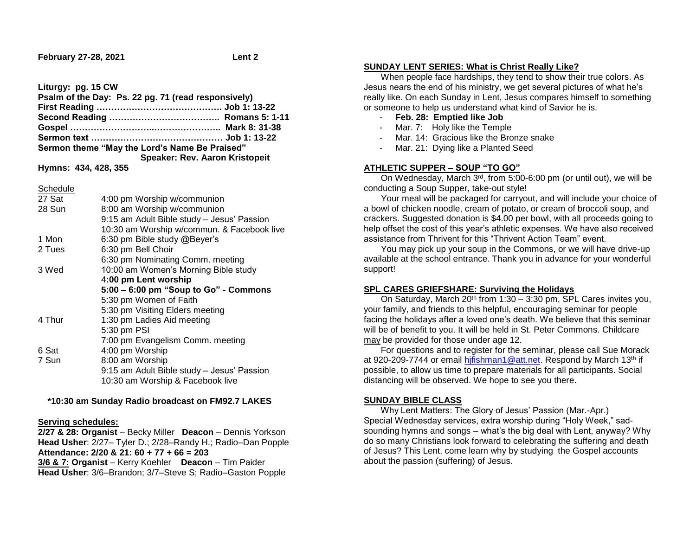**February 27-28, 2021 Lent 2**

**Liturgy: pg. 15 CW Psalm of the Day: Ps. 22 pg. 71 (read responsively) First Reading ……………………………………. Job 1: 13-22 Second Reading ……………………………….. Romans 5: 1-11 Gospel ………………………..………………….. Mark 8: 31-38 Sermon text ……………………………………… Job 1: 13-22 Sermon theme "May the Lord's Name Be Praised" Speaker: Rev. Aaron Kristopeit**

**Hymns: 434, 428, 355**

**Schedule** 

| 27 Sat | 4:00 pm Worship w/communion                |
|--------|--------------------------------------------|
| 28 Sun | 8:00 am Worship w/communion                |
|        | 9:15 am Adult Bible study - Jesus' Passion |
|        | 10:30 am Worship w/commun. & Facebook live |
| 1 Mon  | 6:30 pm Bible study @Beyer's               |
| 2 Tues | 6:30 pm Bell Choir                         |
|        | 6:30 pm Nominating Comm. meeting           |
| 3 Wed  | 10:00 am Women's Morning Bible study       |
|        | 4:00 pm Lent worship                       |
|        | 5:00 - 6:00 pm "Soup to Go" - Commons      |
|        | 5:30 pm Women of Faith                     |
|        | 5:30 pm Visiting Elders meeting            |
| 4 Thur | 1:30 pm Ladies Aid meeting                 |
|        | 5:30 pm PSI                                |
|        | 7:00 pm Evangelism Comm. meeting           |
| 6 Sat  | 4:00 pm Worship                            |
| 7 Sun  | 8:00 am Worship                            |
|        | 9:15 am Adult Bible study - Jesus' Passion |
|        | 10:30 am Worship & Facebook live           |
|        |                                            |

 **\*10:30 am Sunday Radio broadcast on FM92.7 LAKES** 

## **Serving schedules:**

**2/27 & 28: Organist** – Becky Miller **Deacon** – Dennis Yorkson **Head Usher**: 2/27– Tyler D.; 2/28–Randy H.; Radio–Dan Popple **Attendance: 2/20 & 21: 60 + 77 + 66 = 203 3/6 & 7: Organist** – Kerry Koehler **Deacon** – Tim Paider **Head Usher**: 3/6–Brandon; 3/7–Steve S; Radio–Gaston Popple

# **SUNDAY LENT SERIES: What is Christ Really Like?**

 When people face hardships, they tend to show their true colors. As Jesus nears the end of his ministry, we get several pictures of what he's really like. On each Sunday in Lent, Jesus compares himself to something or someone to help us understand what kind of Savior he is.

- **Feb. 28: Emptied like Job**
- Mar. 7: Holy like the Temple
- Mar. 14: Gracious like the Bronze snake
- Mar. 21: Dying like a Planted Seed

## **ATHLETIC SUPPER – SOUP "TO GO"**

 On Wednesday, March 3rd, from 5:00-6:00 pm (or until out), we will be conducting a Soup Supper, take-out style!

 Your meal will be packaged for carryout, and will include your choice of a bowl of chicken noodle, cream of potato, or cream of broccoli soup, and crackers. Suggested donation is \$4.00 per bowl, with all proceeds going to help offset the cost of this year's athletic expenses. We have also received assistance from Thrivent for this "Thrivent Action Team" event.

 You may pick up your soup in the Commons, or we will have drive-up available at the school entrance. Thank you in advance for your wonderful support!

## **SPL CARES GRIEFSHARE: Surviving the Holidays**

On Saturday, March 20<sup>th</sup> from 1:30 – 3:30 pm, SPL Cares invites you, your family, and friends to this helpful, encouraging seminar for people facing the holidays after a loved one's death. We believe that this seminar will be of benefit to you. It will be held in St. Peter Commons. Childcare may be provided for those under age 12.

 For questions and to register for the seminar, please call Sue Morack at 920-209-7744 or email hifishman1@att.net. Respond by March 13<sup>th</sup> if possible, to allow us time to prepare materials for all participants. Social distancing will be observed. We hope to see you there.

## **SUNDAY BIBLE CLASS**

 Why Lent Matters: The Glory of Jesus' Passion (Mar.-Apr.) Special Wednesday services, extra worship during "Holy Week," sadsounding hymns and songs – what's the big deal with Lent, anyway? Why do so many Christians look forward to celebrating the suffering and death of Jesus? This Lent, come learn why by studying the Gospel accounts about the passion (suffering) of Jesus.